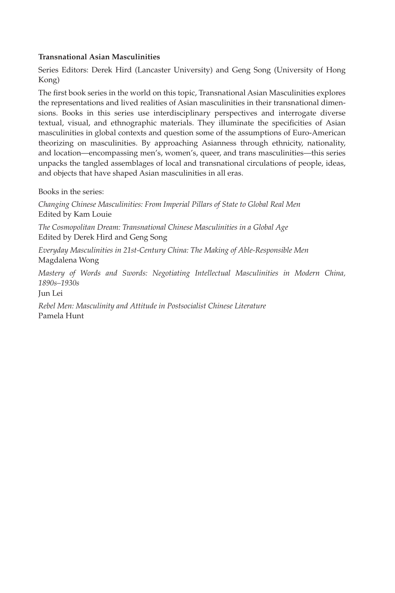#### **Transnational Asian Masculinities**

Series Editors: Derek Hird (Lancaster University) and Geng Song (University of Hong Kong)

The first book series in the world on this topic, Transnational Asian Masculinities explores the representations and lived realities of Asian masculinities in their transnational dimensions. Books in this series use interdisciplinary perspectives and interrogate diverse textual, visual, and ethnographic materials. They illuminate the specificities of Asian masculinities in global contexts and question some of the assumptions of Euro-American theorizing on masculinities. By approaching Asianness through ethnicity, nationality, and location—encompassing men's, women's, queer, and trans masculinities—this series unpacks the tangled assemblages of local and transnational circulations of people, ideas, and objects that have shaped Asian masculinities in all eras.

Books in the series:

*Changing Chinese Masculinities: From Imperial Pillars of State to Global Real Men* Edited by Kam Louie

*The Cosmopolitan Dream: Transnational Chinese Masculinities in a Global Age* Edited by Derek Hird and Geng Song

*Everyday Masculinities in 21st-Century China: The Making of Able-Responsible Men* Magdalena Wong

*Mastery of Words and Swords: Negotiating Intellectual Masculinities in Modern China, 1890s–1930s*

Jun Lei

*Rebel Men: Masculinity and Attitude in Postsocialist Chinese Literature* Pamela Hunt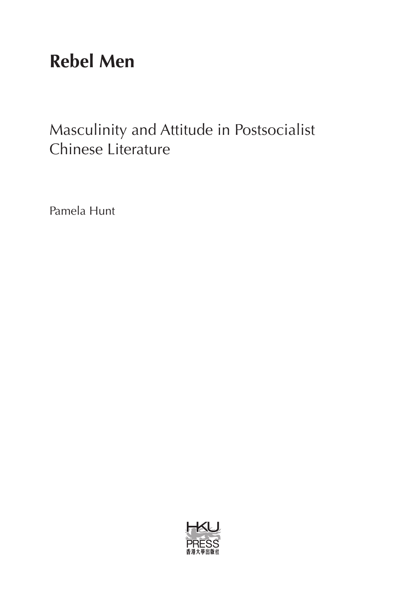# **Rebel Men**

## Masculinity and Attitude in Postsocialist Chinese Literature

Pamela Hunt

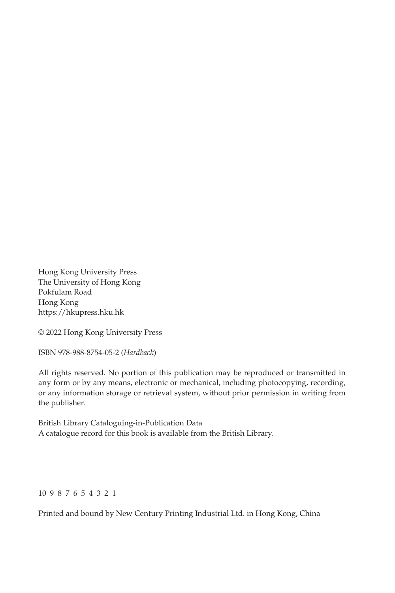Hong Kong University Press The University of Hong Kong Pokfulam Road Hong Kong https://hkupress.hku.hk

© 2022 Hong Kong University Press

ISBN 978-988-8754-05-2 (*Hardback*)

All rights reserved. No portion of this publication may be reproduced or transmitted in any form or by any means, electronic or mechanical, including photocopying, recording, or any information storage or retrieval system, without prior permission in writing from the publisher.

British Library Cataloguing-in-Publication Data A catalogue record for this book is available from the British Library.

#### 10 9 8 7 6 5 4 3 2 1

Printed and bound by New Century Printing Industrial Ltd. in Hong Kong, China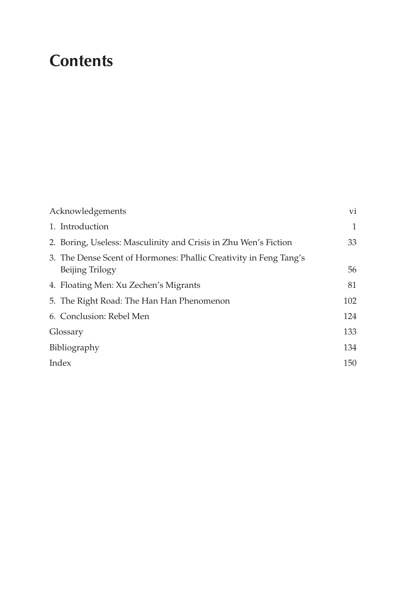# **Contents**

| Acknowledgements                                                                     | vi  |
|--------------------------------------------------------------------------------------|-----|
| 1. Introduction                                                                      | 1   |
| 2. Boring, Useless: Masculinity and Crisis in Zhu Wen's Fiction                      | 33  |
| 3. The Dense Scent of Hormones: Phallic Creativity in Feng Tang's<br>Beijing Trilogy | 56  |
| 4. Floating Men: Xu Zechen's Migrants                                                | 81  |
| 5. The Right Road: The Han Han Phenomenon                                            | 102 |
| 6. Conclusion: Rebel Men                                                             | 124 |
| Glossary                                                                             | 133 |
| Bibliography                                                                         | 134 |
| Index                                                                                | 150 |
|                                                                                      |     |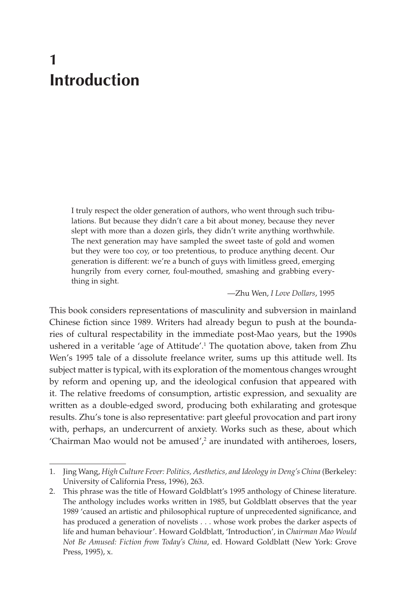## **1 Introduction**

I truly respect the older generation of authors, who went through such tribulations. But because they didn't care a bit about money, because they never slept with more than a dozen girls, they didn't write anything worthwhile. The next generation may have sampled the sweet taste of gold and women but they were too coy, or too pretentious, to produce anything decent. Our generation is different: we're a bunch of guys with limitless greed, emerging hungrily from every corner, foul-mouthed, smashing and grabbing everything in sight.

#### —Zhu Wen, *I Love Dollars*, 1995

This book considers representations of masculinity and subversion in mainland Chinese fiction since 1989. Writers had already begun to push at the boundaries of cultural respectability in the immediate post-Mao years, but the 1990s ushered in a veritable 'age of Attitude'.1 The quotation above, taken from Zhu Wen's 1995 tale of a dissolute freelance writer, sums up this attitude well. Its subject matter is typical, with its exploration of the momentous changes wrought by reform and opening up, and the ideological confusion that appeared with it. The relative freedoms of consumption, artistic expression, and sexuality are written as a double-edged sword, producing both exhilarating and grotesque results. Zhu's tone is also representative: part gleeful provocation and part irony with, perhaps, an undercurrent of anxiety. Works such as these, about which 'Chairman Mao would not be amused', $^2$  are inundated with antiheroes, losers,

<sup>1.</sup> Jing Wang, *High Culture Fever: Politics, Aesthetics, and Ideology in Deng's China* (Berkeley: University of California Press, 1996), 263.

<sup>2.</sup> This phrase was the title of Howard Goldblatt's 1995 anthology of Chinese literature. The anthology includes works written in 1985, but Goldblatt observes that the year 1989 'caused an artistic and philosophical rupture of unprecedented significance, and has produced a generation of novelists . . . whose work probes the darker aspects of life and human behaviour'. Howard Goldblatt, 'Introduction', in *Chairman Mao Would Not Be Amused: Fiction from Today's China*, ed. Howard Goldblatt (New York: Grove Press, 1995), x.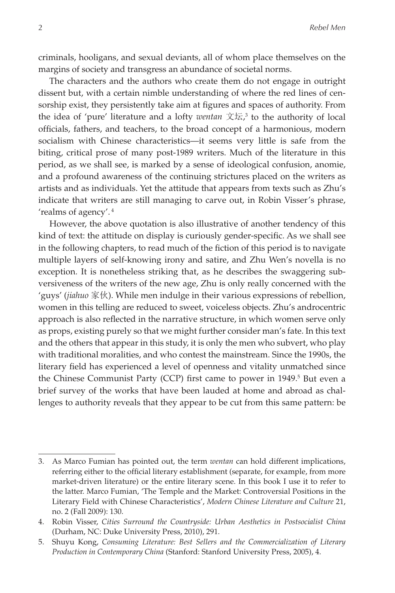criminals, hooligans, and sexual deviants, all of whom place themselves on the margins of society and transgress an abundance of societal norms.

The characters and the authors who create them do not engage in outright dissent but, with a certain nimble understanding of where the red lines of censorship exist, they persistently take aim at figures and spaces of authority. From the idea of 'pure' literature and a lofty *wentan* 文坛, 3 to the authority of local officials, fathers, and teachers, to the broad concept of a harmonious, modern socialism with Chinese characteristics—it seems very little is safe from the biting, critical prose of many post-1989 writers. Much of the literature in this period, as we shall see, is marked by a sense of ideological confusion, anomie, and a profound awareness of the continuing strictures placed on the writers as artists and as individuals. Yet the attitude that appears from texts such as Zhu's indicate that writers are still managing to carve out, in Robin Visser's phrase, 'realms of agency'. 4

However, the above quotation is also illustrative of another tendency of this kind of text: the attitude on display is curiously gender-specific. As we shall see in the following chapters, to read much of the fiction of this period is to navigate multiple layers of self-knowing irony and satire, and Zhu Wen's novella is no exception. It is nonetheless striking that, as he describes the swaggering subversiveness of the writers of the new age, Zhu is only really concerned with the 'guys' (*jiahuo* 家伙). While men indulge in their various expressions of rebellion, women in this telling are reduced to sweet, voiceless objects. Zhu's androcentric approach is also reflected in the narrative structure, in which women serve only as props, existing purely so that we might further consider man's fate. In this text and the others that appear in this study, it is only the men who subvert, who play with traditional moralities, and who contest the mainstream. Since the 1990s, the literary field has experienced a level of openness and vitality unmatched since the Chinese Communist Party (CCP) first came to power in 1949.<sup>5</sup> But even a brief survey of the works that have been lauded at home and abroad as challenges to authority reveals that they appear to be cut from this same pattern: be

<sup>3.</sup> As Marco Fumian has pointed out, the term *wentan* can hold different implications, referring either to the official literary establishment (separate, for example, from more market-driven literature) or the entire literary scene. In this book I use it to refer to the latter. Marco Fumian, 'The Temple and the Market: Controversial Positions in the Literary Field with Chinese Characteristics', *Modern Chinese Literature and Culture* 21, no. 2 (Fall 2009): 130.

<sup>4.</sup> Robin Visser, *Cities Surround the Countryside: Urban Aesthetics in Postsocialist China* (Durham, NC: Duke University Press, 2010), 291.

<sup>5.</sup> Shuyu Kong, *Consuming Literature: Best Sellers and the Commercialization of Literary Production in Contemporary China* (Stanford: Stanford University Press, 2005), 4.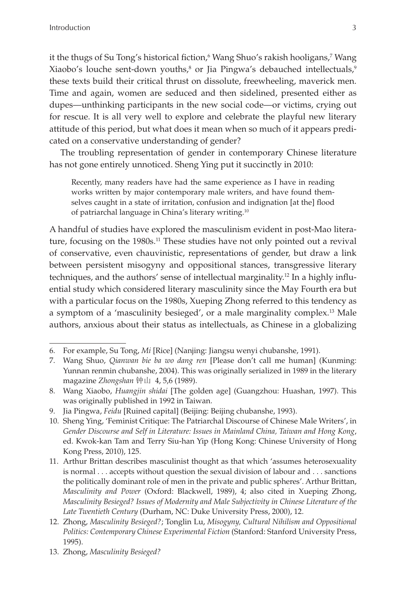it the thugs of Su Tong's historical fiction,<sup>6</sup> Wang Shuo's rakish hooligans,<sup>7</sup> Wang Xiaobo's louche sent-down youths,<sup>8</sup> or Jia Pingwa's debauched intellectuals,<sup>9</sup> these texts build their critical thrust on dissolute, freewheeling, maverick men. Time and again, women are seduced and then sidelined, presented either as dupes—unthinking participants in the new social code—or victims, crying out for rescue. It is all very well to explore and celebrate the playful new literary attitude of this period, but what does it mean when so much of it appears predicated on a conservative understanding of gender?

The troubling representation of gender in contemporary Chinese literature has not gone entirely unnoticed. Sheng Ying put it succinctly in 2010:

Recently, many readers have had the same experience as I have in reading works written by major contemporary male writers, and have found themselves caught in a state of irritation, confusion and indignation [at the] flood of patriarchal language in China's literary writing.<sup>10</sup>

A handful of studies have explored the masculinism evident in post-Mao literature, focusing on the 1980s.<sup>11</sup> These studies have not only pointed out a revival of conservative, even chauvinistic, representations of gender, but draw a link between persistent misogyny and oppositional stances, transgressive literary techniques, and the authors' sense of intellectual marginality.12 In a highly influential study which considered literary masculinity since the May Fourth era but with a particular focus on the 1980s, Xueping Zhong referred to this tendency as a symptom of a 'masculinity besieged', or a male marginality complex.<sup>13</sup> Male authors, anxious about their status as intellectuals, as Chinese in a globalizing

<sup>6.</sup> For example, Su Tong, *Mi* [Rice] (Nanjing: Jiangsu wenyi chubanshe, 1991).

<sup>7.</sup> Wang Shuo, *Qianwan bie ba wo dang ren* [Please don't call me human] (Kunming: Yunnan renmin chubanshe, 2004). This was originally serialized in 1989 in the literary magazine *Zhongshan* 钟山 4, 5,6 (1989).

<sup>8.</sup> Wang Xiaobo, *Huangjin shidai* [The golden age] (Guangzhou: Huashan, 1997). This was originally published in 1992 in Taiwan.

<sup>9.</sup> Jia Pingwa, *Feidu* [Ruined capital] (Beijing: Beijing chubanshe, 1993).

<sup>10.</sup> Sheng Ying, 'Feminist Critique: The Patriarchal Discourse of Chinese Male Writers', in *Gender Discourse and Self in Literature: Issues in Mainland China, Taiwan and Hong Kong*, ed. Kwok-kan Tam and Terry Siu-han Yip (Hong Kong: Chinese University of Hong Kong Press, 2010), 125.

<sup>11.</sup> Arthur Brittan describes masculinist thought as that which 'assumes heterosexuality is normal . . . accepts without question the sexual division of labour and . . . sanctions the politically dominant role of men in the private and public spheres'. Arthur Brittan, *Masculinity and Power* (Oxford: Blackwell, 1989), 4; also cited in Xueping Zhong, *Masculinity Besieged? Issues of Modernity and Male Subjectivity in Chinese Literature of the Late Twentieth Century* (Durham, NC: Duke University Press, 2000), 12.

<sup>12.</sup> Zhong, *Masculinity Besieged?*; Tonglin Lu, *Misogyny, Cultural Nihilism and Oppositional Politics: Contemporary Chinese Experimental Fiction* (Stanford: Stanford University Press, 1995).

<sup>13.</sup> Zhong, *Masculinity Besieged?*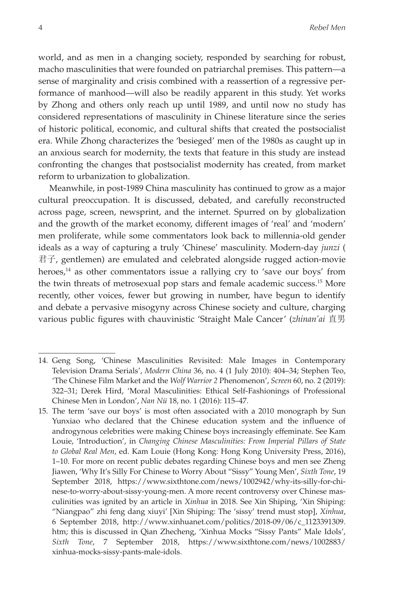world, and as men in a changing society, responded by searching for robust, macho masculinities that were founded on patriarchal premises. This pattern—a sense of marginality and crisis combined with a reassertion of a regressive performance of manhood—will also be readily apparent in this study. Yet works by Zhong and others only reach up until 1989, and until now no study has considered representations of masculinity in Chinese literature since the series of historic political, economic, and cultural shifts that created the postsocialist era. While Zhong characterizes the 'besieged' men of the 1980s as caught up in an anxious search for modernity, the texts that feature in this study are instead confronting the changes that postsocialist modernity has created, from market reform to urbanization to globalization.

Meanwhile, in post-1989 China masculinity has continued to grow as a major cultural preoccupation. It is discussed, debated, and carefully reconstructed across page, screen, newsprint, and the internet. Spurred on by globalization and the growth of the market economy, different images of 'real' and 'modern' men proliferate, while some commentators look back to millennia-old gender ideals as a way of capturing a truly 'Chinese' masculinity. Modern-day *junzi* ( 君子, gentlemen) are emulated and celebrated alongside rugged action-movie heroes,<sup>14</sup> as other commentators issue a rallying cry to 'save our boys' from the twin threats of metrosexual pop stars and female academic success.15 More recently, other voices, fewer but growing in number, have begun to identify and debate a pervasive misogyny across Chinese society and culture, charging various public figures with chauvinistic 'Straight Male Cancer' (*zhinan'ai* 直男

<sup>14.</sup> Geng Song, 'Chinese Masculinities Revisited: Male Images in Contemporary Television Drama Serials', *Modern China* 36, no. 4 (1 July 2010): 404–34; Stephen Teo, 'The Chinese Film Market and the *Wolf Warrior 2* Phenomenon', *Screen* 60, no. 2 (2019): 322–31; Derek Hird, 'Moral Masculinities: Ethical Self-Fashionings of Professional Chinese Men in London', *Nan Nü* 18, no. 1 (2016): 115–47.

<sup>15.</sup> The term 'save our boys' is most often associated with a 2010 monograph by Sun Yunxiao who declared that the Chinese education system and the influence of androgynous celebrities were making Chinese boys increasingly effeminate. See Kam Louie, 'Introduction', in *Changing Chinese Masculinities: From Imperial Pillars of State to Global Real Men*, ed. Kam Louie (Hong Kong: Hong Kong University Press, 2016), 1–10. For more on recent public debates regarding Chinese boys and men see Zheng Jiawen, 'Why It's Silly For Chinese to Worry About "Sissy" Young Men', *Sixth Tone*, 19 September 2018, https://www.sixthtone.com/news/1002942/why-its-silly-for-chinese-to-worry-about-sissy-young-men. A more recent controversy over Chinese masculinities was ignited by an article in *Xinhua* in 2018. See Xin Shiping, 'Xin Shiping: "Niangpao" zhi feng dang xiuyi' [Xin Shiping: The 'sissy' trend must stop], *Xinhua*, 6 September 2018, http://www.xinhuanet.com/politics/2018-09/06/c\_1123391309. htm; this is discussed in Qian Zhecheng, 'Xinhua Mocks "Sissy Pants" Male Idols', *Sixth Tone*, 7 September 2018, https://www.sixthtone.com/news/1002883/ xinhua-mocks-sissy-pants-male-idols.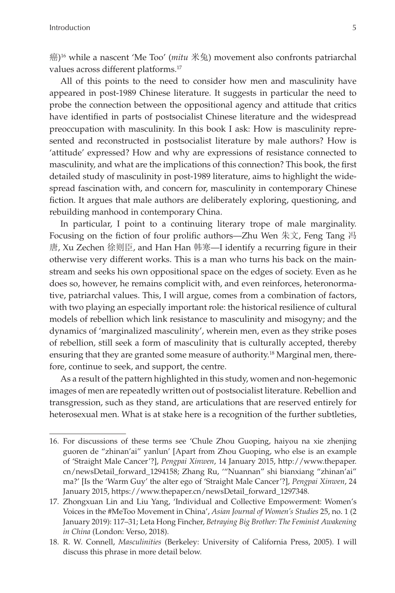癌) 16 while a nascent 'Me Too' (*mitu* 米兔) movement also confronts patriarchal values across different platforms.17

All of this points to the need to consider how men and masculinity have appeared in post-1989 Chinese literature. It suggests in particular the need to probe the connection between the oppositional agency and attitude that critics have identified in parts of postsocialist Chinese literature and the widespread preoccupation with masculinity. In this book I ask: How is masculinity represented and reconstructed in postsocialist literature by male authors? How is 'attitude' expressed? How and why are expressions of resistance connected to masculinity, and what are the implications of this connection? This book, the first detailed study of masculinity in post-1989 literature, aims to highlight the widespread fascination with, and concern for, masculinity in contemporary Chinese fiction. It argues that male authors are deliberately exploring, questioning, and rebuilding manhood in contemporary China.

In particular, I point to a continuing literary trope of male marginality. Focusing on the fiction of four prolific authors—Zhu Wen 朱文, Feng Tang 冯 唐, Xu Zechen 徐则臣, and Han Han 韩寒—I identify a recurring figure in their otherwise very different works. This is a man who turns his back on the mainstream and seeks his own oppositional space on the edges of society. Even as he does so, however, he remains complicit with, and even reinforces, heteronormative, patriarchal values. This, I will argue, comes from a combination of factors, with two playing an especially important role: the historical resilience of cultural models of rebellion which link resistance to masculinity and misogyny; and the dynamics of 'marginalized masculinity', wherein men, even as they strike poses of rebellion, still seek a form of masculinity that is culturally accepted, thereby ensuring that they are granted some measure of authority.<sup>18</sup> Marginal men, therefore, continue to seek, and support, the centre.

As a result of the pattern highlighted in this study, women and non-hegemonic images of men are repeatedly written out of postsocialist literature. Rebellion and transgression, such as they stand, are articulations that are reserved entirely for heterosexual men. What is at stake here is a recognition of the further subtleties,

<sup>16.</sup> For discussions of these terms see 'Chule Zhou Guoping, haiyou na xie zhenjing guoren de "zhinan'ai" yanlun' [Apart from Zhou Guoping, who else is an example of 'Straight Male Cancer'?], *Pengpai Xinwen*, 14 January 2015, http://www.thepaper. cn/newsDetail\_forward\_1294158; Zhang Ru, '"Nuannan" shi bianxiang "zhinan'ai" ma?' [Is the 'Warm Guy' the alter ego of 'Straight Male Cancer'?], *Pengpai Xinwen*, 24 January 2015, https://www.thepaper.cn/newsDetail\_forward\_1297348.

<sup>17.</sup> Zhongxuan Lin and Liu Yang, 'Individual and Collective Empowerment: Women's Voices in the #MeToo Movement in China', *Asian Journal of Women's Studies* 25, no. 1 (2 January 2019): 117–31; Leta Hong Fincher, *Betraying Big Brother: The Feminist Awakening in China* (London: Verso, 2018).

<sup>18.</sup> R. W. Connell, *Masculinities* (Berkeley: University of California Press, 2005). I will discuss this phrase in more detail below.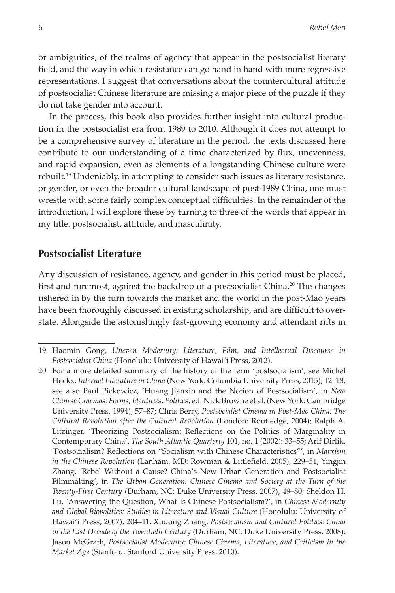or ambiguities, of the realms of agency that appear in the postsocialist literary field, and the way in which resistance can go hand in hand with more regressive representations. I suggest that conversations about the countercultural attitude of postsocialist Chinese literature are missing a major piece of the puzzle if they do not take gender into account.

In the process, this book also provides further insight into cultural production in the postsocialist era from 1989 to 2010. Although it does not attempt to be a comprehensive survey of literature in the period, the texts discussed here contribute to our understanding of a time characterized by flux, unevenness, and rapid expansion, even as elements of a longstanding Chinese culture were rebuilt.19 Undeniably, in attempting to consider such issues as literary resistance, or gender, or even the broader cultural landscape of post-1989 China, one must wrestle with some fairly complex conceptual difficulties. In the remainder of the introduction, I will explore these by turning to three of the words that appear in my title: postsocialist, attitude, and masculinity.

### **Postsocialist Literature**

Any discussion of resistance, agency, and gender in this period must be placed, first and foremost, against the backdrop of a postsocialist China.<sup>20</sup> The changes ushered in by the turn towards the market and the world in the post-Mao years have been thoroughly discussed in existing scholarship, and are difficult to overstate. Alongside the astonishingly fast-growing economy and attendant rifts in

<sup>19.</sup> Haomin Gong, *Uneven Modernity: Literature, Film, and Intellectual Discourse in Postsocialist China* (Honolulu: University of Hawai'i Press, 2012).

<sup>20.</sup> For a more detailed summary of the history of the term 'postsocialism', see Michel Hockx, *Internet Literature in China* (New York: Columbia University Press, 2015), 12–18; see also Paul Pickowicz, 'Huang Jianxin and the Notion of Postsocialism', in *New Chinese Cinemas: Forms, Identities, Politics*, ed. Nick Browne et al. (New York: Cambridge University Press, 1994), 57–87; Chris Berry, *Postsocialist Cinema in Post-Mao China: The Cultural Revolution after the Cultural Revolution* (London: Routledge, 2004); Ralph A. Litzinger, 'Theorizing Postsocialism: Reflections on the Politics of Marginality in Contemporary China', *The South Atlantic Quarterly* 101, no. 1 (2002): 33–55; Arif Dirlik, 'Postsocialism? Reflections on "Socialism with Chinese Characteristics"', in *Marxism in the Chinese Revolution* (Lanham, MD: Rowman & Littlefield, 2005), 229–51; Yingjin Zhang, 'Rebel Without a Cause? China's New Urban Generation and Postsocialist Filmmaking', in *The Urban Generation: Chinese Cinema and Society at the Turn of the Twenty-First Century* (Durham, NC: Duke University Press, 2007), 49–80; Sheldon H. Lu, 'Answering the Question, What Is Chinese Postsocialism?', in *Chinese Modernity and Global Biopolitics: Studies in Literature and Visual Culture* (Honolulu: University of Hawai'i Press, 2007), 204–11; Xudong Zhang, *Postsocialism and Cultural Politics: China in the Last Decade of the Twentieth Century* (Durham, NC: Duke University Press, 2008); Jason McGrath, *Postsocialist Modernity: Chinese Cinema, Literature, and Criticism in the Market Age* (Stanford: Stanford University Press, 2010).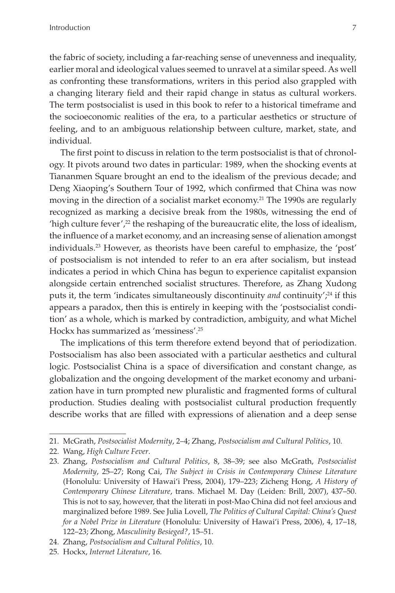the fabric of society, including a far-reaching sense of unevenness and inequality, earlier moral and ideological values seemed to unravel at a similar speed. As well as confronting these transformations, writers in this period also grappled with a changing literary field and their rapid change in status as cultural workers. The term postsocialist is used in this book to refer to a historical timeframe and the socioeconomic realities of the era, to a particular aesthetics or structure of feeling, and to an ambiguous relationship between culture, market, state, and individual.

The first point to discuss in relation to the term postsocialist is that of chronology. It pivots around two dates in particular: 1989, when the shocking events at Tiananmen Square brought an end to the idealism of the previous decade; and Deng Xiaoping's Southern Tour of 1992, which confirmed that China was now moving in the direction of a socialist market economy.<sup>21</sup> The 1990s are regularly recognized as marking a decisive break from the 1980s, witnessing the end of 'high culture fever',<sup>22</sup> the reshaping of the bureaucratic elite, the loss of idealism, the influence of a market economy, and an increasing sense of alienation amongst individuals.23 However, as theorists have been careful to emphasize, the 'post' of postsocialism is not intended to refer to an era after socialism, but instead indicates a period in which China has begun to experience capitalist expansion alongside certain entrenched socialist structures. Therefore, as Zhang Xudong puts it, the term 'indicates simultaneously discontinuity *and* continuity';<sup>24</sup> if this appears a paradox, then this is entirely in keeping with the 'postsocialist condition' as a whole, which is marked by contradiction, ambiguity, and what Michel Hockx has summarized as 'messiness'.25

The implications of this term therefore extend beyond that of periodization. Postsocialism has also been associated with a particular aesthetics and cultural logic. Postsocialist China is a space of diversification and constant change, as globalization and the ongoing development of the market economy and urbanization have in turn prompted new pluralistic and fragmented forms of cultural production. Studies dealing with postsocialist cultural production frequently describe works that are filled with expressions of alienation and a deep sense

<sup>21.</sup> McGrath, *Postsocialist Modernity*, 2–4; Zhang, *Postsocialism and Cultural Politics*, 10.

<sup>22.</sup> Wang, *High Culture Fever*.

<sup>23.</sup> Zhang, *Postsocialism and Cultural Politics*, 8, 38–39; see also McGrath, *Postsocialist Modernity*, 25–27; Rong Cai, *The Subject in Crisis in Contemporary Chinese Literature* (Honolulu: University of Hawai'i Press, 2004), 179–223; Zicheng Hong, *A History of Contemporary Chinese Literature*, trans. Michael M. Day (Leiden: Brill, 2007), 437–50. This is not to say, however, that the literati in post-Mao China did not feel anxious and marginalized before 1989. See Julia Lovell, *The Politics of Cultural Capital: China's Quest for a Nobel Prize in Literature* (Honolulu: University of Hawai'i Press, 2006), 4, 17–18, 122–23; Zhong, *Masculinity Besieged?*, 15–51.

<sup>24.</sup> Zhang, *Postsocialism and Cultural Politics*, 10.

<sup>25.</sup> Hockx, *Internet Literature*, 16.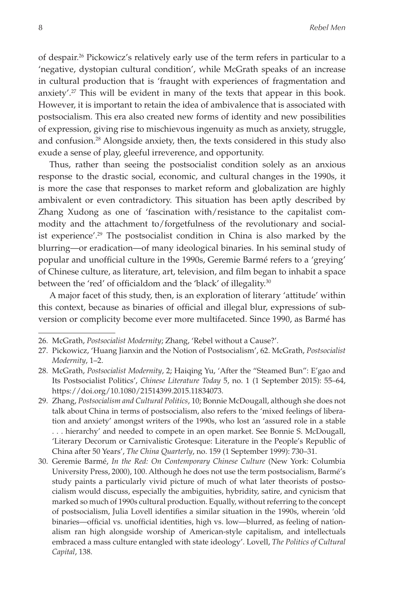of despair.26 Pickowicz's relatively early use of the term refers in particular to a 'negative, dystopian cultural condition', while McGrath speaks of an increase in cultural production that is 'fraught with experiences of fragmentation and anxiety'.27 This will be evident in many of the texts that appear in this book. However, it is important to retain the idea of ambivalence that is associated with postsocialism. This era also created new forms of identity and new possibilities of expression, giving rise to mischievous ingenuity as much as anxiety, struggle, and confusion.28 Alongside anxiety, then, the texts considered in this study also exude a sense of play, gleeful irreverence, and opportunity.

Thus, rather than seeing the postsocialist condition solely as an anxious response to the drastic social, economic, and cultural changes in the 1990s, it is more the case that responses to market reform and globalization are highly ambivalent or even contradictory. This situation has been aptly described by Zhang Xudong as one of 'fascination with/resistance to the capitalist commodity and the attachment to/forgetfulness of the revolutionary and socialist experience'.29 The postsocialist condition in China is also marked by the blurring—or eradication—of many ideological binaries. In his seminal study of popular and unofficial culture in the 1990s, Geremie Barmé refers to a 'greying' of Chinese culture, as literature, art, television, and film began to inhabit a space between the 'red' of officialdom and the 'black' of illegality.<sup>30</sup>

A major facet of this study, then, is an exploration of literary 'attitude' within this context, because as binaries of official and illegal blur, expressions of subversion or complicity become ever more multifaceted. Since 1990, as Barmé has

<sup>26.</sup> McGrath, *Postsocialist Modernity*; Zhang, 'Rebel without a Cause?'.

<sup>27.</sup> Pickowicz, 'Huang Jianxin and the Notion of Postsocialism', 62. McGrath, *Postsocialist Modernity*, 1–2.

<sup>28.</sup> McGrath, *Postsocialist Modernity*, 2; Haiqing Yu, 'After the "Steamed Bun": E'gao and Its Postsocialist Politics', *Chinese Literature Today* 5, no. 1 (1 September 2015): 55–64, https://doi.org/10.1080/21514399.2015.11834073.

<sup>29.</sup> Zhang, *Postsocialism and Cultural Politics*, 10; Bonnie McDougall, although she does not talk about China in terms of postsocialism, also refers to the 'mixed feelings of liberation and anxiety' amongst writers of the 1990s, who lost an 'assured role in a stable . . . hierarchy' and needed to compete in an open market. See Bonnie S. McDougall, 'Literary Decorum or Carnivalistic Grotesque: Literature in the People's Republic of China after 50 Years', *The China Quarterly*, no. 159 (1 September 1999): 730–31.

<sup>30.</sup> Geremie Barmé, *In the Red: On Contemporary Chinese Culture* (New York: Columbia University Press, 2000), 100. Although he does not use the term postsocialism, Barmé's study paints a particularly vivid picture of much of what later theorists of postsocialism would discuss, especially the ambiguities, hybridity, satire, and cynicism that marked so much of 1990s cultural production. Equally, without referring to the concept of postsocialism, Julia Lovell identifies a similar situation in the 1990s, wherein 'old binaries—official vs. unofficial identities, high vs. low—blurred, as feeling of nationalism ran high alongside worship of American-style capitalism, and intellectuals embraced a mass culture entangled with state ideology'. Lovell, *The Politics of Cultural Capital*, 138.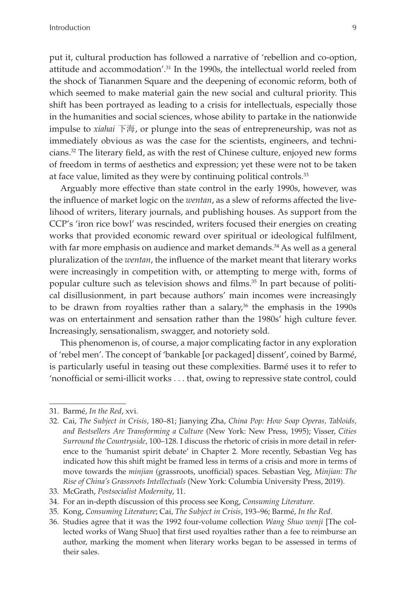put it, cultural production has followed a narrative of 'rebellion and co-option, attitude and accommodation'.<sup>31</sup> In the 1990s, the intellectual world reeled from the shock of Tiananmen Square and the deepening of economic reform, both of which seemed to make material gain the new social and cultural priority. This shift has been portrayed as leading to a crisis for intellectuals, especially those in the humanities and social sciences, whose ability to partake in the nationwide impulse to *xiahai* 下海, or plunge into the seas of entrepreneurship, was not as immediately obvious as was the case for the scientists, engineers, and technicians.32 The literary field, as with the rest of Chinese culture, enjoyed new forms of freedom in terms of aesthetics and expression; yet these were not to be taken at face value, limited as they were by continuing political controls.<sup>33</sup>

Arguably more effective than state control in the early 1990s, however, was the influence of market logic on the *wentan*, as a slew of reforms affected the livelihood of writers, literary journals, and publishing houses. As support from the CCP's 'iron rice bowl' was rescinded, writers focused their energies on creating works that provided economic reward over spiritual or ideological fulfilment, with far more emphasis on audience and market demands.<sup>34</sup> As well as a general pluralization of the *wentan*, the influence of the market meant that literary works were increasingly in competition with, or attempting to merge with, forms of popular culture such as television shows and films.<sup>35</sup> In part because of political disillusionment, in part because authors' main incomes were increasingly to be drawn from royalties rather than a salary, $36$  the emphasis in the 1990s was on entertainment and sensation rather than the 1980s' high culture fever. Increasingly, sensationalism, swagger, and notoriety sold.

This phenomenon is, of course, a major complicating factor in any exploration of 'rebel men'. The concept of 'bankable [or packaged] dissent', coined by Barmé, is particularly useful in teasing out these complexities. Barmé uses it to refer to 'nonofficial or semi-illicit works . . . that, owing to repressive state control, could

<sup>31.</sup> Barmé, *In the Red*, xvi.

<sup>32.</sup> Cai, *The Subject in Crisis*, 180–81; Jianying Zha, *China Pop: How Soap Operas, Tabloids, and Bestsellers Are Transforming a Culture* (New York: New Press, 1995); Visser, *Cities Surround the Countryside*, 100–128. I discuss the rhetoric of crisis in more detail in reference to the 'humanist spirit debate' in Chapter 2. More recently, Sebastian Veg has indicated how this shift might be framed less in terms of a crisis and more in terms of move towards the *minjian* (grassroots, unofficial) spaces. Sebastian Veg, *Minjian: The Rise of China's Grassroots Intellectuals* (New York: Columbia University Press, 2019).

<sup>33.</sup> McGrath, *Postsocialist Modernity*, 11.

<sup>34.</sup> For an in-depth discussion of this process see Kong, *Consuming Literature*.

<sup>35.</sup> Kong, *Consuming Literature*; Cai, *The Subject in Crisis*, 193–96; Barmé, *In the Red*.

<sup>36.</sup> Studies agree that it was the 1992 four-volume collection *Wang Shuo wenji* [The collected works of Wang Shuo] that first used royalties rather than a fee to reimburse an author, marking the moment when literary works began to be assessed in terms of their sales.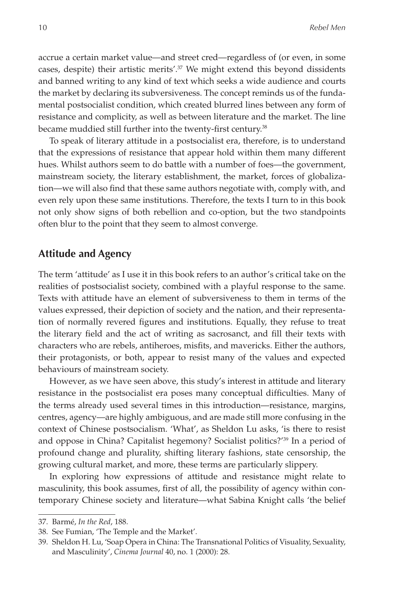accrue a certain market value—and street cred—regardless of (or even, in some cases, despite) their artistic merits'.<sup>37</sup> We might extend this beyond dissidents and banned writing to any kind of text which seeks a wide audience and courts the market by declaring its subversiveness. The concept reminds us of the fundamental postsocialist condition, which created blurred lines between any form of resistance and complicity, as well as between literature and the market. The line became muddied still further into the twenty-first century.<sup>38</sup>

To speak of literary attitude in a postsocialist era, therefore, is to understand that the expressions of resistance that appear hold within them many different hues. Whilst authors seem to do battle with a number of foes—the government, mainstream society, the literary establishment, the market, forces of globalization—we will also find that these same authors negotiate with, comply with, and even rely upon these same institutions. Therefore, the texts I turn to in this book not only show signs of both rebellion and co-option, but the two standpoints often blur to the point that they seem to almost converge.

### **Attitude and Agency**

The term 'attitude' as I use it in this book refers to an author's critical take on the realities of postsocialist society, combined with a playful response to the same. Texts with attitude have an element of subversiveness to them in terms of the values expressed, their depiction of society and the nation, and their representation of normally revered figures and institutions. Equally, they refuse to treat the literary field and the act of writing as sacrosanct, and fill their texts with characters who are rebels, antiheroes, misfits, and mavericks. Either the authors, their protagonists, or both, appear to resist many of the values and expected behaviours of mainstream society.

However, as we have seen above, this study's interest in attitude and literary resistance in the postsocialist era poses many conceptual difficulties. Many of the terms already used several times in this introduction—resistance, margins, centres, agency—are highly ambiguous, and are made still more confusing in the context of Chinese postsocialism. 'What', as Sheldon Lu asks, 'is there to resist and oppose in China? Capitalist hegemony? Socialist politics?'39 In a period of profound change and plurality, shifting literary fashions, state censorship, the growing cultural market, and more, these terms are particularly slippery.

In exploring how expressions of attitude and resistance might relate to masculinity, this book assumes, first of all, the possibility of agency within contemporary Chinese society and literature—what Sabina Knight calls 'the belief

<sup>37.</sup> Barmé, *In the Red*, 188.

<sup>38.</sup> See Fumian, 'The Temple and the Market'.

<sup>39.</sup> Sheldon H. Lu, 'Soap Opera in China: The Transnational Politics of Visuality, Sexuality, and Masculinity', *Cinema Journal* 40, no. 1 (2000): 28.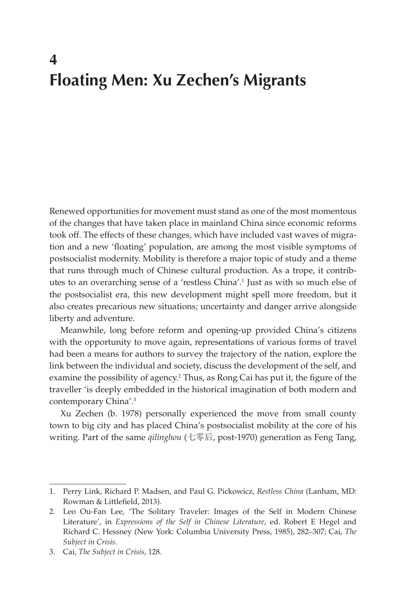### **4 Floating Men: Xu Zechen's Migrants**

Renewed opportunities for movement must stand as one of the most momentous of the changes that have taken place in mainland China since economic reforms took off. The effects of these changes, which have included vast waves of migration and a new 'floating' population, are among the most visible symptoms of postsocialist modernity. Mobility is therefore a major topic of study and a theme that runs through much of Chinese cultural production. As a trope, it contributes to an overarching sense of a 'restless China'.1 Just as with so much else of the postsocialist era, this new development might spell more freedom, but it also creates precarious new situations; uncertainty and danger arrive alongside liberty and adventure.

Meanwhile, long before reform and opening-up provided China's citizens with the opportunity to move again, representations of various forms of travel had been a means for authors to survey the trajectory of the nation, explore the link between the individual and society, discuss the development of the self, and examine the possibility of agency.<sup>2</sup> Thus, as Rong Cai has put it, the figure of the traveller 'is deeply embedded in the historical imagination of both modern and contemporary China'.3

Xu Zechen (b. 1978) personally experienced the move from small county town to big city and has placed China's postsocialist mobility at the core of his writing. Part of the same *qilinghou* (七零后, post-1970) generation as Feng Tang,

<sup>1.</sup> Perry Link, Richard P. Madsen, and Paul G. Pickowicz, *Restless China* (Lanham, MD: Rowman & Littlefield, 2013).

<sup>2.</sup> Leo Ou-Fan Lee, 'The Solitary Traveler: Images of the Self in Modern Chinese Literature', in *Expressions of the Self in Chinese Literature*, ed. Robert E Hegel and Richard C. Hessney (New York: Columbia University Press, 1985), 282–307; Cai, *The Subject in Crisis*.

<sup>3.</sup> Cai, *The Subject in Crisis*, 128.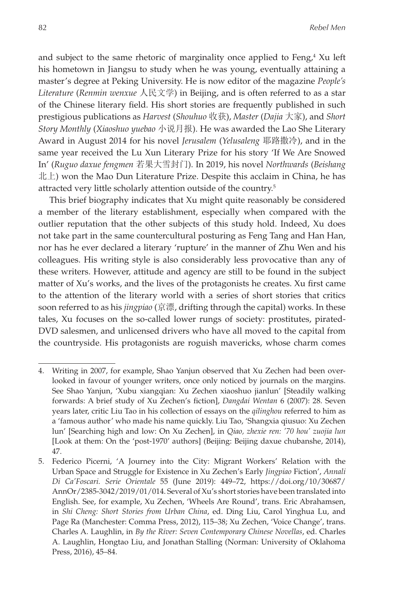and subject to the same rhetoric of marginality once applied to Feng, $4$  Xu left his hometown in Jiangsu to study when he was young, eventually attaining a master's degree at Peking University. He is now editor of the magazine *People's Literature* (*Renmin wenxue* 人民文学) in Beijing, and is often referred to as a star of the Chinese literary field. His short stories are frequently published in such prestigious publications as *Harvest* (*Shouhuo* 收获), *Master* (*Dajia* 大家), and *Short Story Monthly* (*Xiaoshuo yuebao* 小说月报). He was awarded the Lao She Literary Award in August 2014 for his novel *Jerusalem* (*Yelusaleng* 耶路撒冷), and in the same year received the Lu Xun Literary Prize for his story 'If We Are Snowed In' (*Ruguo daxue fengmen* 若果大雪封门). In 2019, his novel *Northwards* (*Beishang* 北上) won the Mao Dun Literature Prize. Despite this acclaim in China, he has attracted very little scholarly attention outside of the country.5

This brief biography indicates that Xu might quite reasonably be considered a member of the literary establishment, especially when compared with the outlier reputation that the other subjects of this study hold. Indeed, Xu does not take part in the same countercultural posturing as Feng Tang and Han Han, nor has he ever declared a literary 'rupture' in the manner of Zhu Wen and his colleagues. His writing style is also considerably less provocative than any of these writers. However, attitude and agency are still to be found in the subject matter of Xu's works, and the lives of the protagonists he creates. Xu first came to the attention of the literary world with a series of short stories that critics soon referred to as his *jingpiao* (京漂, drifting through the capital) works. In these tales, Xu focuses on the so-called lower rungs of society: prostitutes, pirated-DVD salesmen, and unlicensed drivers who have all moved to the capital from the countryside. His protagonists are roguish mavericks, whose charm comes

<sup>4.</sup> Writing in 2007, for example, Shao Yanjun observed that Xu Zechen had been overlooked in favour of younger writers, once only noticed by journals on the margins. See Shao Yanjun, 'Xubu xiangqian: Xu Zechen xiaoshuo jianlun' [Steadily walking forwards: A brief study of Xu Zechen's fiction], *Dangdai Wentan* 6 (2007): 28. Seven years later, critic Liu Tao in his collection of essays on the *qilinghou* referred to him as a 'famous author' who made his name quickly. Liu Tao, 'Shangxia qiusuo: Xu Zechen lun' [Searching high and low: On Xu Zechen], in *Qiao, zhexie ren: '70 hou' zuojia lun* [Look at them: On the 'post-1970' authors] (Beijing: Beijing daxue chubanshe, 2014), 47.

<sup>5.</sup> Federico Picerni, 'A Journey into the City: Migrant Workers' Relation with the Urban Space and Struggle for Existence in Xu Zechen's Early *Jingpiao* Fiction', *Annali Di Ca'Foscari. Serie Orientale* 55 (June 2019): 449–72, https://doi.org/10/30687/ AnnOr/2385-3042/2019/01/014. Several of Xu's short stories have been translated into English. See, for example, Xu Zechen, 'Wheels Are Round', trans. Eric Abrahamsen, in *Shi Cheng: Short Stories from Urban China*, ed. Ding Liu, Carol Yinghua Lu, and Page Ra (Manchester: Comma Press, 2012), 115–38; Xu Zechen, 'Voice Change', trans. Charles A. Laughlin, in *By the River: Seven Contemporary Chinese Novellas*, ed. Charles A. Laughlin, Hongtao Liu, and Jonathan Stalling (Norman: University of Oklahoma Press, 2016), 45–84.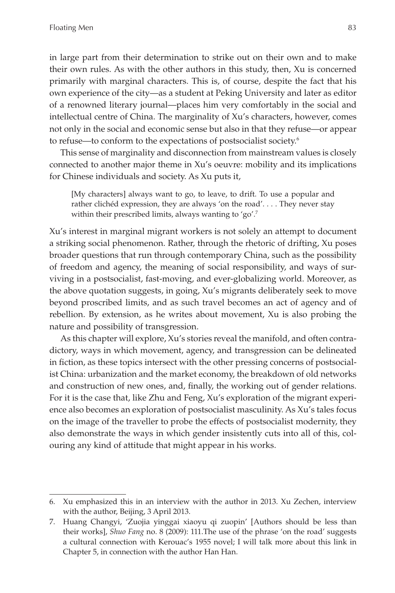in large part from their determination to strike out on their own and to make their own rules. As with the other authors in this study, then, Xu is concerned primarily with marginal characters. This is, of course, despite the fact that his own experience of the city—as a student at Peking University and later as editor of a renowned literary journal—places him very comfortably in the social and intellectual centre of China. The marginality of Xu's characters, however, comes not only in the social and economic sense but also in that they refuse—or appear to refuse—to conform to the expectations of postsocialist society.6

This sense of marginality and disconnection from mainstream values is closely connected to another major theme in Xu's oeuvre: mobility and its implications for Chinese individuals and society. As Xu puts it,

[My characters] always want to go, to leave, to drift. To use a popular and rather clichéd expression, they are always 'on the road'. . . . They never stay within their prescribed limits, always wanting to 'go'.<sup>7</sup>

Xu's interest in marginal migrant workers is not solely an attempt to document a striking social phenomenon. Rather, through the rhetoric of drifting, Xu poses broader questions that run through contemporary China, such as the possibility of freedom and agency, the meaning of social responsibility, and ways of surviving in a postsocialist, fast-moving, and ever-globalizing world. Moreover, as the above quotation suggests, in going, Xu's migrants deliberately seek to move beyond proscribed limits, and as such travel becomes an act of agency and of rebellion. By extension, as he writes about movement, Xu is also probing the nature and possibility of transgression.

As this chapter will explore, Xu's stories reveal the manifold, and often contradictory, ways in which movement, agency, and transgression can be delineated in fiction, as these topics intersect with the other pressing concerns of postsocialist China: urbanization and the market economy, the breakdown of old networks and construction of new ones, and, finally, the working out of gender relations. For it is the case that, like Zhu and Feng, Xu's exploration of the migrant experience also becomes an exploration of postsocialist masculinity. As Xu's tales focus on the image of the traveller to probe the effects of postsocialist modernity, they also demonstrate the ways in which gender insistently cuts into all of this, colouring any kind of attitude that might appear in his works.

<sup>6.</sup> Xu emphasized this in an interview with the author in 2013. Xu Zechen, interview with the author, Beijing, 3 April 2013.

<sup>7.</sup> Huang Changyi, 'Zuojia yinggai xiaoyu qi zuopin' [Authors should be less than their works], *Shuo Fang* no. 8 (2009): 111.The use of the phrase 'on the road' suggests a cultural connection with Kerouac's 1955 novel; I will talk more about this link in Chapter 5, in connection with the author Han Han.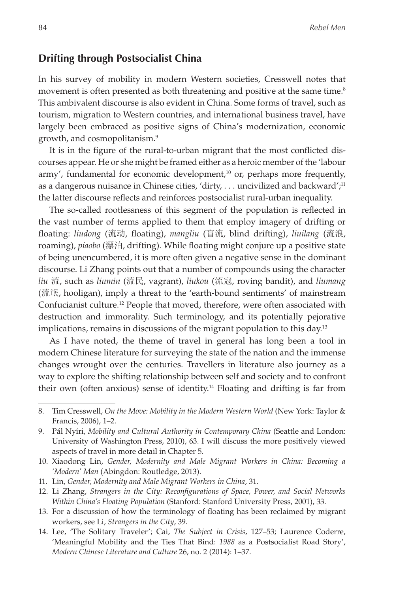### **Drifting through Postsocialist China**

In his survey of mobility in modern Western societies, Cresswell notes that movement is often presented as both threatening and positive at the same time.<sup>8</sup> This ambivalent discourse is also evident in China. Some forms of travel, such as tourism, migration to Western countries, and international business travel, have largely been embraced as positive signs of China's modernization, economic growth, and cosmopolitanism.9

It is in the figure of the rural-to-urban migrant that the most conflicted discourses appear. He or she might be framed either as a heroic member of the 'labour army', fundamental for economic development, $10$  or, perhaps more frequently, as a dangerous nuisance in Chinese cities, 'dirty, ... uncivilized and backward';<sup>11</sup> the latter discourse reflects and reinforces postsocialist rural-urban inequality.

The so-called rootlessness of this segment of the population is reflected in the vast number of terms applied to them that employ imagery of drifting or floating: *liudong* (流动, floating), *mangliu* (盲流, blind drifting), *liuilang* (流浪, roaming), *piaobo* (漂泊, drifting). While floating might conjure up a positive state of being unencumbered, it is more often given a negative sense in the dominant discourse. Li Zhang points out that a number of compounds using the character *liu* 流, such as *liumin* (流民, vagrant), *liukou* (流寇, roving bandit), and *liumang* (流氓, hooligan), imply a threat to the 'earth-bound sentiments' of mainstream Confucianist culture.12 People that moved, therefore, were often associated with destruction and immorality. Such terminology, and its potentially pejorative implications, remains in discussions of the migrant population to this day.<sup>13</sup>

As I have noted, the theme of travel in general has long been a tool in modern Chinese literature for surveying the state of the nation and the immense changes wrought over the centuries. Travellers in literature also journey as a way to explore the shifting relationship between self and society and to confront their own (often anxious) sense of identity.<sup>14</sup> Floating and drifting is far from

<sup>8.</sup> Tim Cresswell, *On the Move: Mobility in the Modern Western World* (New York: Taylor & Francis, 2006), 1–2.

<sup>9.</sup> Pál Nyíri, *Mobility and Cultural Authority in Contemporary China* (Seattle and London: University of Washington Press, 2010), 63. I will discuss the more positively viewed aspects of travel in more detail in Chapter 5.

<sup>10.</sup> Xiaodong Lin, *Gender, Modernity and Male Migrant Workers in China: Becoming a 'Modern' Man* (Abingdon: Routledge, 2013).

<sup>11.</sup> Lin, *Gender, Modernity and Male Migrant Workers in China*, 31.

<sup>12.</sup> Li Zhang, *Strangers in the City: Reconfigurations of Space, Power, and Social Networks Within China's Floating Population* (Stanford: Stanford University Press, 2001), 33.

<sup>13.</sup> For a discussion of how the terminology of floating has been reclaimed by migrant workers, see Li, *Strangers in the City*, 39.

<sup>14.</sup> Lee, 'The Solitary Traveler'; Cai, *The Subject in Crisis*, 127–53; Laurence Coderre, 'Meaningful Mobility and the Ties That Bind: *1988* as a Postsocialist Road Story', *Modern Chinese Literature and Culture* 26, no. 2 (2014): 1–37.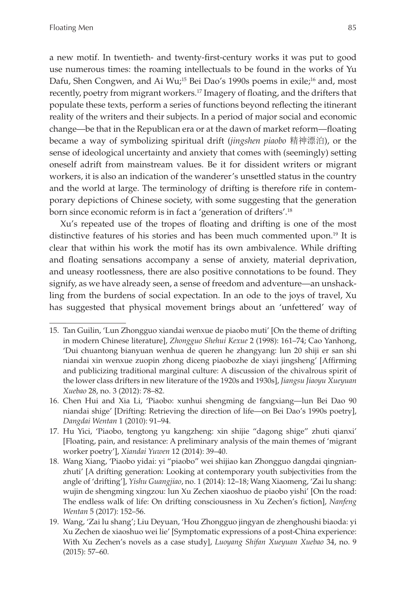a new motif. In twentieth- and twenty-first-century works it was put to good use numerous times: the roaming intellectuals to be found in the works of Yu Dafu, Shen Congwen, and Ai Wu;<sup>15</sup> Bei Dao's 1990s poems in exile;<sup>16</sup> and, most recently, poetry from migrant workers.<sup>17</sup> Imagery of floating, and the drifters that populate these texts, perform a series of functions beyond reflecting the itinerant reality of the writers and their subjects. In a period of major social and economic change—be that in the Republican era or at the dawn of market reform—floating became a way of symbolizing spiritual drift (*jingshen piaobo* 精神漂泊), or the sense of ideological uncertainty and anxiety that comes with (seemingly) setting oneself adrift from mainstream values. Be it for dissident writers or migrant workers, it is also an indication of the wanderer's unsettled status in the country and the world at large. The terminology of drifting is therefore rife in contemporary depictions of Chinese society, with some suggesting that the generation born since economic reform is in fact a 'generation of drifters'.<sup>18</sup>

Xu's repeated use of the tropes of floating and drifting is one of the most distinctive features of his stories and has been much commented upon.<sup>19</sup> It is clear that within his work the motif has its own ambivalence. While drifting and floating sensations accompany a sense of anxiety, material deprivation, and uneasy rootlessness, there are also positive connotations to be found. They signify, as we have already seen, a sense of freedom and adventure—an unshackling from the burdens of social expectation. In an ode to the joys of travel, Xu has suggested that physical movement brings about an 'unfettered' way of

<sup>15.</sup> Tan Guilin, 'Lun Zhongguo xiandai wenxue de piaobo muti' [On the theme of drifting in modern Chinese literature], *Zhongguo Shehui Kexue* 2 (1998): 161–74; Cao Yanhong, 'Dui chuantong bianyuan wenhua de queren he zhangyang: lun 20 shiji er san shi niandai xin wenxue zuopin zhong diceng piaobozhe de xiayi jingsheng' [Affirming and publicizing traditional marginal culture: A discussion of the chivalrous spirit of the lower class drifters in new literature of the 1920s and 1930s], *Jiangsu Jiaoyu Xueyuan Xuebao* 28, no. 3 (2012): 78–82.

<sup>16.</sup> Chen Hui and Xia Li, 'Piaobo: xunhui shengming de fangxiang—lun Bei Dao 90 niandai shige' [Drifting: Retrieving the direction of life—on Bei Dao's 1990s poetry], *Dangdai Wentan* 1 (2010): 91–94.

<sup>17.</sup> Hu Yici, 'Piaobo, tengtong yu kangzheng: xin shijie "dagong shige" zhuti qianxi' [Floating, pain, and resistance: A preliminary analysis of the main themes of 'migrant worker poetry'], *Xiandai Yuwen* 12 (2014): 39–40.

<sup>18.</sup> Wang Xiang, 'Piaobo yidai: yi "piaobo" wei shijiao kan Zhongguo dangdai qingnianzhuti' [A drifting generation: Looking at contemporary youth subjectivities from the angle of 'drifting'], *Yishu Guangjiao*, no. 1 (2014): 12–18; Wang Xiaomeng, 'Zai lu shang: wujin de shengming xingzou: lun Xu Zechen xiaoshuo de piaobo yishi' [On the road: The endless walk of life: On drifting consciousness in Xu Zechen's fiction], *Nanfeng Wentan* 5 (2017): 152–56.

<sup>19.</sup> Wang, 'Zai lu shang'; Liu Deyuan, 'Hou Zhongguo jingyan de zhenghoushi biaoda: yi Xu Zechen de xiaoshuo wei lie' [Symptomatic expressions of a post-China experience: With Xu Zechen's novels as a case study], *Luoyang Shifan Xueyuan Xuebao* 34, no. 9 (2015): 57–60.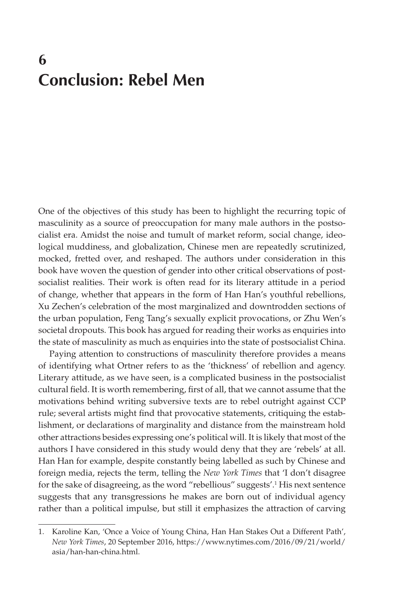# **6 Conclusion: Rebel Men**

One of the objectives of this study has been to highlight the recurring topic of masculinity as a source of preoccupation for many male authors in the postsocialist era. Amidst the noise and tumult of market reform, social change, ideological muddiness, and globalization, Chinese men are repeatedly scrutinized, mocked, fretted over, and reshaped. The authors under consideration in this book have woven the question of gender into other critical observations of postsocialist realities. Their work is often read for its literary attitude in a period of change, whether that appears in the form of Han Han's youthful rebellions, Xu Zechen's celebration of the most marginalized and downtrodden sections of the urban population, Feng Tang's sexually explicit provocations, or Zhu Wen's societal dropouts. This book has argued for reading their works as enquiries into the state of masculinity as much as enquiries into the state of postsocialist China.

Paying attention to constructions of masculinity therefore provides a means of identifying what Ortner refers to as the 'thickness' of rebellion and agency. Literary attitude, as we have seen, is a complicated business in the postsocialist cultural field. It is worth remembering, first of all, that we cannot assume that the motivations behind writing subversive texts are to rebel outright against CCP rule; several artists might find that provocative statements, critiquing the establishment, or declarations of marginality and distance from the mainstream hold other attractions besides expressing one's political will. It is likely that most of the authors I have considered in this study would deny that they are 'rebels' at all. Han Han for example, despite constantly being labelled as such by Chinese and foreign media, rejects the term, telling the *New York Times* that 'I don't disagree for the sake of disagreeing, as the word "rebellious" suggests'.<sup>1</sup> His next sentence suggests that any transgressions he makes are born out of individual agency rather than a political impulse, but still it emphasizes the attraction of carving

<sup>1.</sup> Karoline Kan, 'Once a Voice of Young China, Han Han Stakes Out a Different Path', *New York Times*, 20 September 2016, https://www.nytimes.com/2016/09/21/world/ asia/han-han-china.html.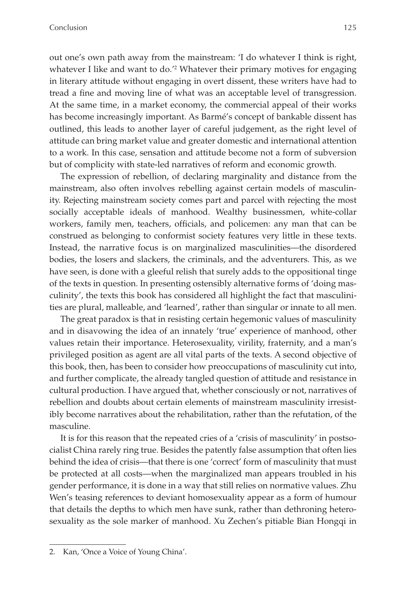out one's own path away from the mainstream: 'I do whatever I think is right, whatever I like and want to do.<sup>'2</sup> Whatever their primary motives for engaging in literary attitude without engaging in overt dissent, these writers have had to tread a fine and moving line of what was an acceptable level of transgression. At the same time, in a market economy, the commercial appeal of their works has become increasingly important. As Barmé's concept of bankable dissent has outlined, this leads to another layer of careful judgement, as the right level of attitude can bring market value and greater domestic and international attention to a work. In this case, sensation and attitude become not a form of subversion but of complicity with state-led narratives of reform and economic growth.

The expression of rebellion, of declaring marginality and distance from the mainstream, also often involves rebelling against certain models of masculinity. Rejecting mainstream society comes part and parcel with rejecting the most socially acceptable ideals of manhood. Wealthy businessmen, white-collar workers, family men, teachers, officials, and policemen: any man that can be construed as belonging to conformist society features very little in these texts. Instead, the narrative focus is on marginalized masculinities—the disordered bodies, the losers and slackers, the criminals, and the adventurers. This, as we have seen, is done with a gleeful relish that surely adds to the oppositional tinge of the texts in question. In presenting ostensibly alternative forms of 'doing masculinity', the texts this book has considered all highlight the fact that masculinities are plural, malleable, and 'learned', rather than singular or innate to all men.

The great paradox is that in resisting certain hegemonic values of masculinity and in disavowing the idea of an innately 'true' experience of manhood, other values retain their importance. Heterosexuality, virility, fraternity, and a man's privileged position as agent are all vital parts of the texts. A second objective of this book, then, has been to consider how preoccupations of masculinity cut into, and further complicate, the already tangled question of attitude and resistance in cultural production. I have argued that, whether consciously or not, narratives of rebellion and doubts about certain elements of mainstream masculinity irresistibly become narratives about the rehabilitation, rather than the refutation, of the masculine.

It is for this reason that the repeated cries of a 'crisis of masculinity' in postsocialist China rarely ring true. Besides the patently false assumption that often lies behind the idea of crisis—that there is one 'correct' form of masculinity that must be protected at all costs—when the marginalized man appears troubled in his gender performance, it is done in a way that still relies on normative values. Zhu Wen's teasing references to deviant homosexuality appear as a form of humour that details the depths to which men have sunk, rather than dethroning heterosexuality as the sole marker of manhood. Xu Zechen's pitiable Bian Hongqi in

<sup>2.</sup> Kan, 'Once a Voice of Young China'.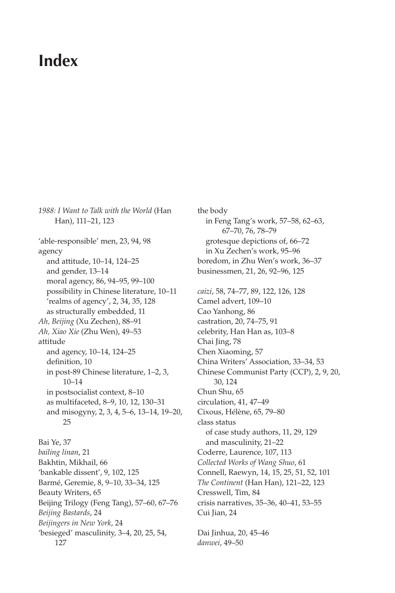### **Index**

*1988: I Want to Talk with the World* (Han Han), 111–21, 123 'able-responsible' men, 23, 94, 98 agency and attitude, 10–14, 124–25 and gender, 13–14 moral agency, 86, 94–95, 99–100 possibility in Chinese literature, 10–11 'realms of agency', 2, 34, 35, 128 as structurally embedded, 11 *Ah, Beijing* (Xu Zechen), 88–91 *Ah, Xiao Xie* (Zhu Wen), 49–53 attitude and agency, 10–14, 124–25 definition, 10 in post-89 Chinese literature, 1–2, 3, 10–14 in postsocialist context, 8–10 as multifaceted, 8–9, 10, 12, 130–31 and misogyny, 2, 3, 4, 5–6, 13–14, 19–20, 25 Bai Ye, 37 *bailing linan*, 21 Bakhtin, Mikhail, 66 'bankable dissent', 9, 102, 125 Barmé, Geremie, 8, 9–10, 33–34, 125 Beauty Writers, 65 Beijing Trilogy (Feng Tang), 57–60, 67–76

*Beijing Bastards*, 24 *Beijingers in New York*, 24 'besieged' masculinity, 3–4, 20, 25, 54, 127

the body in Feng Tang's work, 57–58, 62–63, 67–70, 76, 78–79 grotesque depictions of, 66–72 in Xu Zechen's work, 95–96 boredom, in Zhu Wen's work, 36–37 businessmen, 21, 26, 92–96, 125 *caizi*, 58, 74–77, 89, 122, 126, 128 Camel advert, 109–10 Cao Yanhong, 86 castration, 20, 74–75, 91 celebrity, Han Han as, 103–8 Chai Jing, 78 Chen Xiaoming, 57 China Writers' Association, 33–34, 53 Chinese Communist Party (CCP), 2, 9, 20, 30, 124 Chun Shu, 65 circulation, 41, 47–49 Cixous, Hélène, 65, 79–80 class status of case study authors, 11, 29, 129 and masculinity, 21–22 Coderre, Laurence, 107, 113 *Collected Works of Wang Shuo*, 61 Connell, Raewyn, 14, 15, 25, 51, 52, 101 *The Continent* (Han Han), 121–22, 123 Cresswell, Tim, 84 crisis narratives, 35–36, 40–41, 53–55 Cui Jian, 24

Dai Jinhua, 20, 45–46 *danwei*, 49–50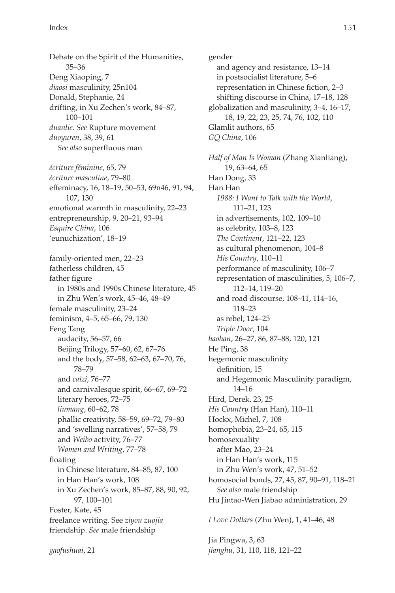Debate on the Spirit of the Humanities, 35–36 Deng Xiaoping, 7 *diaosi* masculinity, 25n104 Donald, Stephanie, 24 drifting, in Xu Zechen's work, 84–87, 100–101 *duanlie*. *See* Rupture movement *duoyuren*, 38, 39, 61 *See also* superfluous man

*écriture féminine*, 65, 79 *écriture masculine*, 79–80 effeminacy, 16, 18–19, 50–53, 69n46, 91, 94, 107, 130 emotional warmth in masculinity, 22–23 entrepreneurship, 9, 20–21, 93–94 *Esquire China*, 106 'eunuchization', 18–19

family-oriented men, 22–23 fatherless children, 45 father figure in 1980s and 1990s Chinese literature, 45 in Zhu Wen's work, 45–46, 48–49 female masculinity, 23–24 feminism, 4–5, 65–66, 79, 130 Feng Tang audacity, 56–57, 66 Beijing Trilogy, 57–60, 62, 67–76 and the body, 57–58, 62–63, 67–70, 76, 78–79 and *caizi*, 76–77 and carnivalesque spirit, 66–67, 69–72 literary heroes, 72–75 *liumang*, 60–62, 78 phallic creativity, 58–59, 69–72, 79–80 and 'swelling narratives', 57–58, 79 and *Weibo* activity, 76–77 *Women and Writing*, 77–78 floating in Chinese literature, 84–85, 87, 100 in Han Han's work, 108 in Xu Zechen's work, 85–87, 88, 90, 92, 97, 100–101 Foster, Kate, 45 freelance writing. See *ziyou zuojia* friendship. *See* male friendship

*gaofushuai*, 21

gender and agency and resistance, 13–14 in postsocialist literature, 5–6 representation in Chinese fiction, 2–3 shifting discourse in China, 17–18, 128 globalization and masculinity, 3–4, 16–17, 18, 19, 22, 23, 25, 74, 76, 102, 110 Glamlit authors, 65 *GQ China*, 106

*Half of Man Is Woman* (Zhang Xianliang), 19, 63–64, 65 Han Dong, 33 Han Han *1988: I Want to Talk with the World*, 111–21, 123 in advertisements, 102, 109–10 as celebrity, 103–8, 123 *The Continent*, 121–22, 123 as cultural phenomenon, 104–8 *His Country*, 110–11 performance of masculinity, 106–7 representation of masculinities, 5, 106–7, 112–14, 119–20 and road discourse, 108–11, 114–16, 118–23 as rebel, 124–25 *Triple Door*, 104 *haohan*, 26–27, 86, 87–88, 120, 121 He Ping, 38 hegemonic masculinity definition, 15 and Hegemonic Masculinity paradigm, 14–16 Hird, Derek, 23, 25 *His Country* (Han Han), 110–11 Hockx, Michel, 7, 108 homophobia, 23–24, 65, 115 homosexuality after Mao, 23–24 in Han Han's work, 115 in Zhu Wen's work, 47, 51–52 homosocial bonds, 27, 45, 87, 90–91, 118–21 *See also* male friendship Hu Jintao-Wen Jiabao administration, 29

*I Love Dollars* (Zhu Wen), 1, 41–46, 48

Jia Pingwa, 3, 63 *jianghu*, 31, 110, 118, 121–22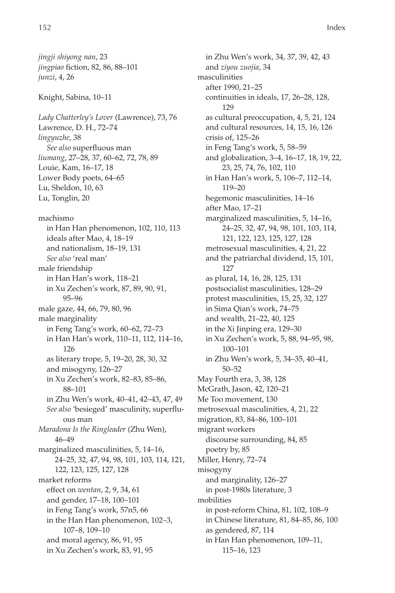*jingji shiyong nan*, 23 *jingpiao* fiction, 82, 86, 88–101 *junzi*, 4, 26 Knight, Sabina, 10–11 *Lady Chatterley's Lover* (Lawrence), 73, 76 Lawrence, D. H., 72–74 *lingyuzhe*, 38 *See also* superfluous man *liumang*, 27–28, 37, 60–62, 72, 78, 89 Louie, Kam, 16–17, 18 Lower Body poets, 64–65 Lu, Sheldon, 10, 63 Lu, Tonglin, 20 machismo in Han Han phenomenon, 102, 110, 113 ideals after Mao, 4, 18–19 and nationalism, 18–19, 131 *See also* 'real man' male friendship in Han Han's work, 118–21 in Xu Zechen's work, 87, 89, 90, 91, 95–96 male gaze, 44, 66, 79, 80, 96 male marginality in Feng Tang's work, 60–62, 72–73 in Han Han's work, 110–11, 112, 114–16, 126 as literary trope, 5, 19–20, 28, 30, 32 and misogyny, 126–27 in Xu Zechen's work, 82–83, 85–86, 88–101 in Zhu Wen's work, 40–41, 42–43, 47, 49 *See also* 'besieged' masculinity, superfluous man *Maradona Is the Ringleader* (Zhu Wen), 46–49 marginalized masculinities, 5, 14–16, 24–25, 32, 47, 94, 98, 101, 103, 114, 121, 122, 123, 125, 127, 128 market reforms effect on *wentan*, 2, 9, 34, 61 and gender, 17–18, 100–101 in Feng Tang's work, 57n5, 66 in the Han Han phenomenon, 102–3, 107–8, 109–10 and moral agency, 86, 91, 95 in Xu Zechen's work, 83, 91, 95

in Zhu Wen's work, 34, 37, 39, 42, 43 and *ziyou zuojia*, 34 masculinities after 1990, 21–25 continuities in ideals, 17, 26–28, 128, 129 as cultural preoccupation, 4, 5, 21, 124 and cultural resources, 14, 15, 16, 126 crisis of, 125–26 in Feng Tang's work, 5, 58–59 and globalization, 3–4, 16–17, 18, 19, 22, 23, 25, 74, 76, 102, 110 in Han Han's work, 5, 106–7, 112–14, 119–20 hegemonic masculinities, 14–16 after Mao, 17–21 marginalized masculinities, 5, 14–16, 24–25, 32, 47, 94, 98, 101, 103, 114, 121, 122, 123, 125, 127, 128 metrosexual masculinities, 4, 21, 22 and the patriarchal dividend, 15, 101, 127 as plural, 14, 16, 28, 125, 131 postsocialist masculinities, 128–29 protest masculinities, 15, 25, 32, 127 in Sima Qian's work, 74–75 and wealth, 21–22, 40, 125 in the Xi Jinping era, 129–30 in Xu Zechen's work, 5, 88, 94–95, 98, 100–101 in Zhu Wen's work, 5, 34–35, 40–41, 50–52 May Fourth era, 3, 38, 128 McGrath, Jason, 42, 120–21 Me Too movement, 130 metrosexual masculinities, 4, 21, 22 migration, 83, 84–86, 100–101 migrant workers discourse surrounding, 84, 85 poetry by, 85 Miller, Henry, 72–74 misogyny and marginality, 126–27 in post-1980s literature, 3 mobilities in post-reform China, 81, 102, 108–9 in Chinese literature, 81, 84–85, 86, 100 as gendered, 87, 114 in Han Han phenomenon, 109–11, 115–16, 123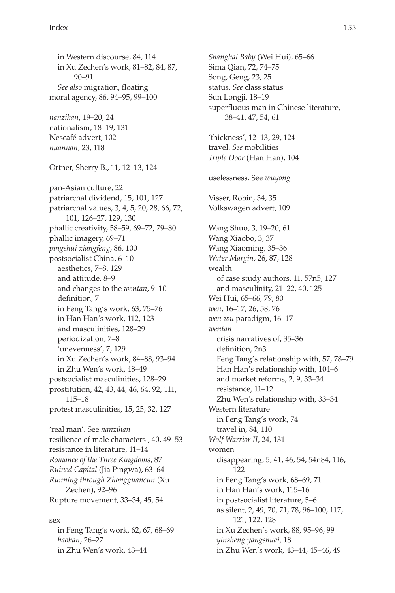in Western discourse, 84, 114 in Xu Zechen's work, 81–82, 84, 87, 90–91 *See also* migration, floating moral agency, 86, 94–95, 99–100 *nanzihan*, 19–20, 24 nationalism, 18–19, 131 Nescafé advert, 102 *nuannan*, 23, 118 Ortner, Sherry B., 11, 12–13, 124 pan-Asian culture, 22 patriarchal dividend, 15, 101, 127 patriarchal values, 3, 4, 5, 20, 28, 66, 72, 101, 126–27, 129, 130 phallic creativity, 58–59, 69–72, 79–80 phallic imagery, 69–71 *pingshui xiangfeng*, 86, 100 postsocialist China, 6–10 aesthetics, 7–8, 129 and attitude, 8–9 and changes to the *wentan*, 9–10 definition, 7 in Feng Tang's work, 63, 75–76 in Han Han's work, 112, 123 and masculinities, 128–29 periodization, 7–8 'unevenness', 7, 129 in Xu Zechen's work, 84–88, 93–94 in Zhu Wen's work, 48–49 postsocialist masculinities, 128–29 prostitution, 42, 43, 44, 46, 64, 92, 111, 115–18 protest masculinities, 15, 25, 32, 127 'real man'. See *nanzihan* resilience of male characters , 40, 49–53 resistance in literature, 11–14 *Romance of the Three Kingdoms*, 87 *Ruined Capital* (Jia Pingwa), 63–64 *Running through Zhongguancun* (Xu Zechen), 92–96 Rupture movement, 33–34, 45, 54

in Feng Tang's work, 62, 67, 68–69 *haohan*, 26–27 in Zhu Wen's work, 43–44

sex

*Shanghai Baby* (Wei Hui), 65–66 Sima Qian, 72, 74–75 Song, Geng, 23, 25 status. *See* class status Sun Longji, 18–19 superfluous man in Chinese literature, 38–41, 47, 54, 61 'thickness', 12–13, 29, 124 travel. *See* mobilities *Triple Door* (Han Han), 104 uselessness. See *wuyong* Visser, Robin, 34, 35 Volkswagen advert, 109 Wang Shuo, 3, 19–20, 61 Wang Xiaobo, 3, 37 Wang Xiaoming, 35–36 *Water Margin*, 26, 87, 128 wealth of case study authors, 11, 57n5, 127 and masculinity, 21–22, 40, 125 Wei Hui, 65–66, 79, 80 *wen*, 16–17, 26, 58, 76 *wen-wu* paradigm, 16–17 *wentan* crisis narratives of, 35–36 definition, 2n3 Feng Tang's relationship with, 57, 78–79 Han Han's relationship with, 104–6 and market reforms, 2, 9, 33–34 resistance, 11–12 Zhu Wen's relationship with, 33–34 Western literature in Feng Tang's work, 74 travel in, 84, 110 *Wolf Warrior II*, 24, 131 women disappearing, 5, 41, 46, 54, 54n84, 116, 122 in Feng Tang's work, 68–69, 71 in Han Han's work, 115–16 in postsocialist literature, 5–6 as silent, 2, 49, 70, 71, 78, 96–100, 117, 121, 122, 128 in Xu Zechen's work, 88, 95–96, 99 *yinsheng yangshuai*, 18 in Zhu Wen's work, 43–44, 45–46, 49